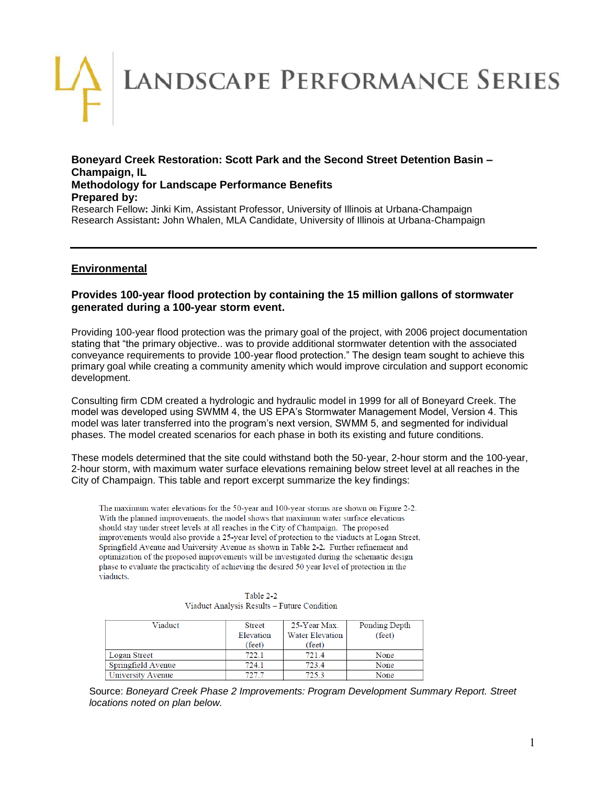# LANDSCAPE PERFORMANCE SERIES

## **Boneyard Creek Restoration: Scott Park and the Second Street Detention Basin – Champaign, IL Methodology for Landscape Performance Benefits Prepared by:**

Research Fellow**:** Jinki Kim, Assistant Professor, University of Illinois at Urbana-Champaign Research Assistant**:** John Whalen, MLA Candidate, University of Illinois at Urbana-Champaign

# **Environmental**

## **Provides 100-year flood protection by containing the 15 million gallons of stormwater generated during a 100-year storm event.**

Providing 100-year flood protection was the primary goal of the project, with 2006 project documentation stating that "the primary objective.. was to provide additional stormwater detention with the associated conveyance requirements to provide 100-year flood protection." The design team sought to achieve this primary goal while creating a community amenity which would improve circulation and support economic development.

Consulting firm CDM created a hydrologic and hydraulic model in 1999 for all of Boneyard Creek. The model was developed using SWMM 4, the US EPA's Stormwater Management Model, Version 4. This model was later transferred into the program's next version, SWMM 5, and segmented for individual phases. The model created scenarios for each phase in both its existing and future conditions.

These models determined that the site could withstand both the 50-year, 2-hour storm and the 100-year, 2-hour storm, with maximum water surface elevations remaining below street level at all reaches in the City of Champaign. This table and report excerpt summarize the key findings:

The maximum water elevations for the 50-year and 100-year storms are shown on Figure 2-2. With the planned improvements, the model shows that maximum water surface elevations should stay under street levels at all reaches in the City of Champaign. The proposed improvements would also provide a 25-year level of protection to the viaducts at Logan Street, Springfield Avenue and University Avenue as shown in Table 2-2. Further refinement and optimization of the proposed improvements will be investigated during the schematic design phase to evaluate the practicality of achieving the desired 50 year level of protection in the viaducts.

| Viaduct                   | <b>Street</b> | 25-Year Max.           | Ponding Depth   |
|---------------------------|---------------|------------------------|-----------------|
|                           | Elevation     | <b>Water Elevation</b> | $(\text{feet})$ |
|                           | (feet)        | (feet)                 |                 |
| Logan Street              | 722.1         | 721.4                  | None            |
| Springfield Avenue        | 724.1         | 723.4                  | None            |
| <b>LIniversity Avenue</b> | 727.7         | 7253                   | None            |

Table 2-2 Viaduct Analysis Results - Future Condition

Source: *Boneyard Creek Phase 2 Improvements: Program Development Summary Report. Street locations noted on plan below.*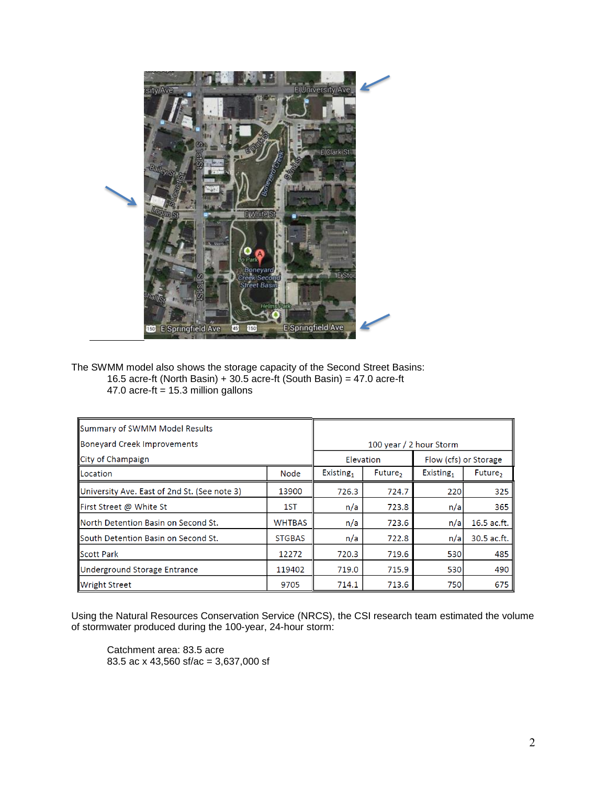

The SWMM model also shows the storage capacity of the Second Street Basins: 16.5 acre-ft (North Basin) + 30.5 acre-ft (South Basin) = 47.0 acre-ft 47.0 acre-ft =  $15.3$  million gallons

| Summary of SWMM Model Results                |               |                         |                     |                       |             |  |
|----------------------------------------------|---------------|-------------------------|---------------------|-----------------------|-------------|--|
| Boneyard Creek Improvements                  |               | 100 year / 2 hour Storm |                     |                       |             |  |
| City of Champaign                            |               | Elevation               |                     | Flow (cfs) or Storage |             |  |
| <b>ILocation</b>                             | Node          | Existing <sub>1</sub>   | Future <sub>2</sub> | Existing,             | Future,     |  |
| University Ave. East of 2nd St. (See note 3) | 13900         | 726.3                   | 724.7               | 220                   | 325         |  |
| First Street @ White St                      | 1ST           | n/a                     | 723.8               | n/a                   | 365         |  |
| <b>North Detention Basin on Second St.</b>   | <b>WHTBAS</b> | n/a                     | 723.6               | n/a                   | 16.5 ac.ft. |  |
| <b>South Detention Basin on Second St.</b>   | <b>STGBAS</b> | n/a                     | 722.8               | n/a                   | 30.5 ac.ft. |  |
| <b>Scott Park</b>                            | 12272         | 720.3                   | 719.6               | 530                   | 485         |  |
| Underground Storage Entrance                 | 119402        | 719.0                   | 715.9               | 530                   | 490         |  |
| <b>Wright Street</b>                         | 9705          | 714.1                   | 713.6               | 750                   | 675         |  |

Using the Natural Resources Conservation Service (NRCS), the CSI research team estimated the volume of stormwater produced during the 100-year, 24-hour storm:

Catchment area: 83.5 acre 83.5 ac x 43,560 sf/ac = 3,637,000 sf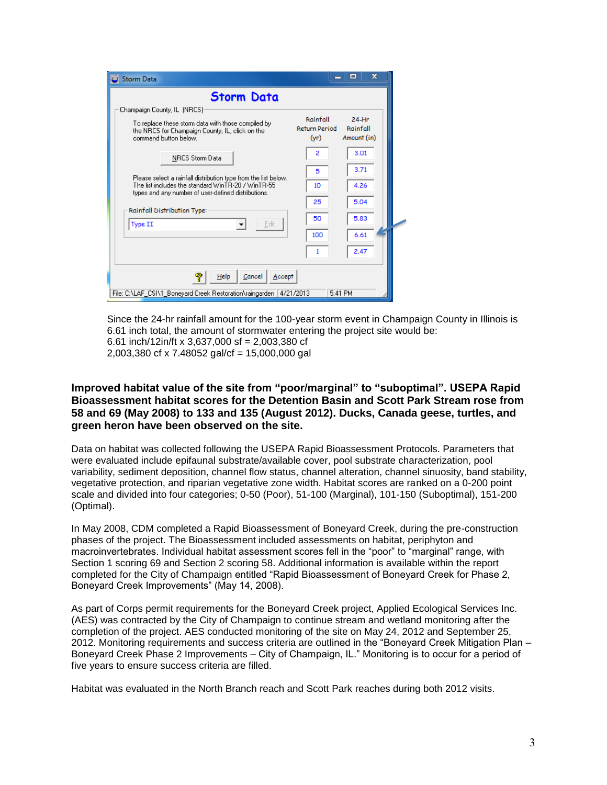| Storm Data                                                                                                                                                                                                                                                                                                                                                               |                                                   | $\mathbf x$<br>$\blacksquare$                              |  |
|--------------------------------------------------------------------------------------------------------------------------------------------------------------------------------------------------------------------------------------------------------------------------------------------------------------------------------------------------------------------------|---------------------------------------------------|------------------------------------------------------------|--|
| <b>Storm Data</b>                                                                                                                                                                                                                                                                                                                                                        |                                                   |                                                            |  |
| Champaign County, IL (NRCS):<br>To replace these storm data with those compiled by<br>the NRCS for Champaign County, IL, click on the<br>command button helow.<br><b>NRCS Storm Data</b><br>Please select a rainfall distribution type from the list below.<br>The list includes the standard WinTR-20 / WinTR-55<br>types and any number of user-defined distributions. | Rainfall<br>Return Period<br>(yr)<br>2<br>5<br>10 | $24-Hr$<br>Rainfall<br>Amount (in)<br>3.01<br>3.71<br>4.26 |  |
| Rainfall Distribution Type:<br>Edit<br>Type II                                                                                                                                                                                                                                                                                                                           | 25<br>50<br>100                                   | 5.04<br>5.83<br>6.61                                       |  |
| Cancel<br>Help<br>Accept<br>φ                                                                                                                                                                                                                                                                                                                                            | 1                                                 | 2.47                                                       |  |
| File: C:\LAF_CSI\1_Boneyard Creek Restoration\raingarden   4/21/2013                                                                                                                                                                                                                                                                                                     |                                                   | 5:41 PM                                                    |  |

Since the 24-hr rainfall amount for the 100-year storm event in Champaign County in Illinois is 6.61 inch total, the amount of stormwater entering the project site would be: 6.61 inch/12in/ft x 3,637,000 sf = 2,003,380 cf 2,003,380 cf x 7.48052 gal/cf = 15,000,000 gal

## **Improved habitat value of the site from "poor/marginal" to "suboptimal". USEPA Rapid Bioassessment habitat scores for the Detention Basin and Scott Park Stream rose from 58 and 69 (May 2008) to 133 and 135 (August 2012). Ducks, Canada geese, turtles, and green heron have been observed on the site.**

Data on habitat was collected following the USEPA Rapid Bioassessment Protocols. Parameters that were evaluated include epifaunal substrate/available cover, pool substrate characterization, pool variability, sediment deposition, channel flow status, channel alteration, channel sinuosity, band stability, vegetative protection, and riparian vegetative zone width. Habitat scores are ranked on a 0-200 point scale and divided into four categories; 0-50 (Poor), 51-100 (Marginal), 101-150 (Suboptimal), 151-200 (Optimal).

In May 2008, CDM completed a Rapid Bioassessment of Boneyard Creek, during the pre-construction phases of the project. The Bioassessment included assessments on habitat, periphyton and macroinvertebrates. Individual habitat assessment scores fell in the "poor" to "marginal" range, with Section 1 scoring 69 and Section 2 scoring 58. Additional information is available within the report completed for the City of Champaign entitled "Rapid Bioassessment of Boneyard Creek for Phase 2, Boneyard Creek Improvements" (May 14, 2008).

As part of Corps permit requirements for the Boneyard Creek project, Applied Ecological Services Inc. (AES) was contracted by the City of Champaign to continue stream and wetland monitoring after the completion of the project. AES conducted monitoring of the site on May 24, 2012 and September 25, 2012. Monitoring requirements and success criteria are outlined in the "Boneyard Creek Mitigation Plan – Boneyard Creek Phase 2 Improvements – City of Champaign, IL." Monitoring is to occur for a period of five years to ensure success criteria are filled.

Habitat was evaluated in the North Branch reach and Scott Park reaches during both 2012 visits.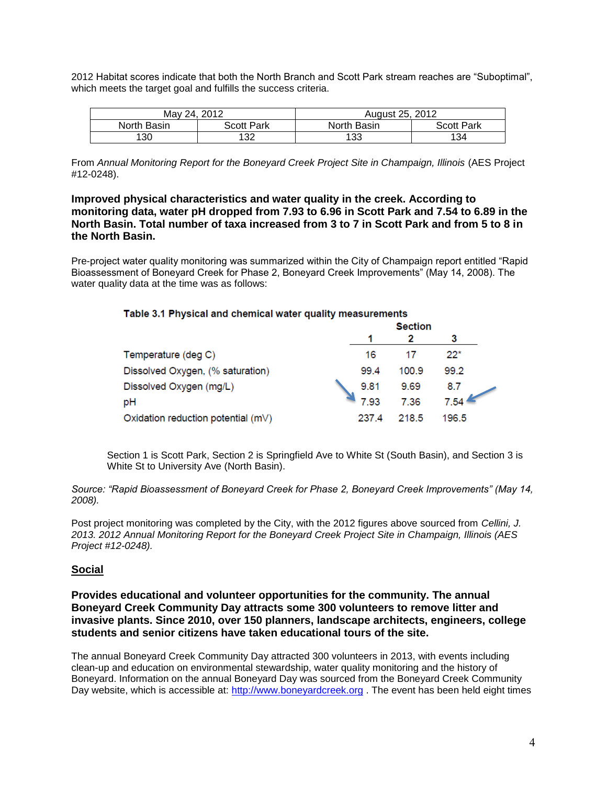2012 Habitat scores indicate that both the North Branch and Scott Park stream reaches are "Suboptimal", which meets the target goal and fulfills the success criteria.

| May 24, 2012 |                   | August 25, 2012 |                   |  |
|--------------|-------------------|-----------------|-------------------|--|
| North Basin  | <b>Scott Park</b> | North Basin     | <b>Scott Park</b> |  |
| 130          | 132               | 133             | 134               |  |

From *Annual Monitoring Report for the Boneyard Creek Project Site in Champaign, Illinois* (AES Project #12-0248).

**Improved physical characteristics and water quality in the creek. According to monitoring data, water pH dropped from 7.93 to 6.96 in Scott Park and 7.54 to 6.89 in the North Basin. Total number of taxa increased from 3 to 7 in Scott Park and from 5 to 8 in the North Basin.**

Pre-project water quality monitoring was summarized within the City of Champaign report entitled "Rapid Bioassessment of Boneyard Creek for Phase 2, Boneyard Creek Improvements" (May 14, 2008). The water quality data at the time was as follows:

| Table 3.1 Physical and chemical water quality measurements |                |       |       |  |
|------------------------------------------------------------|----------------|-------|-------|--|
|                                                            | <b>Section</b> |       |       |  |
|                                                            |                | 2     | 3     |  |
| Temperature (deg C)                                        | 16             | 17    | $22*$ |  |
| Dissolved Oxygen, (% saturation)                           | 99.4           | 100.9 | 99.2  |  |
| Dissolved Oxygen (mg/L)                                    | 9.81           | 9.69  | 8.7   |  |
| pH                                                         | 7 93           | 7.36  | 7.54  |  |
| Oxidation reduction potential (mV)                         | 237.4          | 218.5 | 196.5 |  |

Section 1 is Scott Park, Section 2 is Springfield Ave to White St (South Basin), and Section 3 is White St to University Ave (North Basin).

*Source: "Rapid Bioassessment of Boneyard Creek for Phase 2, Boneyard Creek Improvements" (May 14, 2008).*

Post project monitoring was completed by the City, with the 2012 figures above sourced from *Cellini, J. 2013. 2012 Annual Monitoring Report for the Boneyard Creek Project Site in Champaign, Illinois (AES Project #12-0248).*

# **Social**

**Provides educational and volunteer opportunities for the community. The annual Boneyard Creek Community Day attracts some 300 volunteers to remove litter and invasive plants. Since 2010, over 150 planners, landscape architects, engineers, college students and senior citizens have taken educational tours of the site.**

The annual Boneyard Creek Community Day attracted 300 volunteers in 2013, with events including clean-up and education on environmental stewardship, water quality monitoring and the history of Boneyard. Information on the annual Boneyard Day was sourced from the Boneyard Creek Community Day website, which is accessible at: [http://www.boneyardcreek.org](http://www.boneyardcreek.org/links.html) . The event has been held eight times